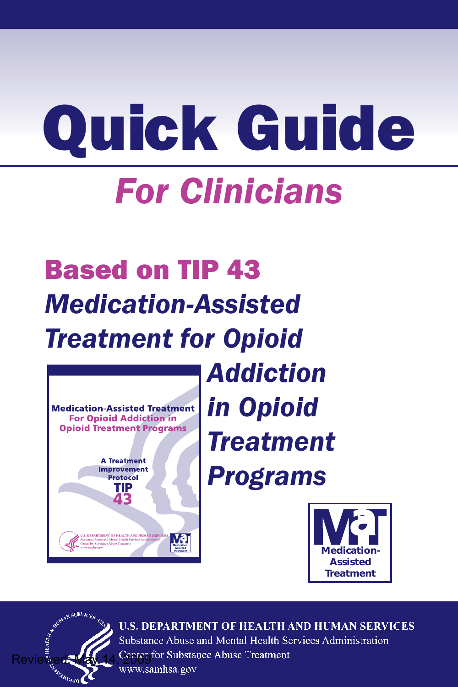# Quick Guide *For Clinicians*

# Based on TIP 43 *Medication-Assisted Treatment for Opioid*



*Addiction in Opioid Treatment Programs*





**U.S. DEPARTMENT OF HEALTH AND HUMAN SERVICES** Substance Abuse and Mental Health Services Administration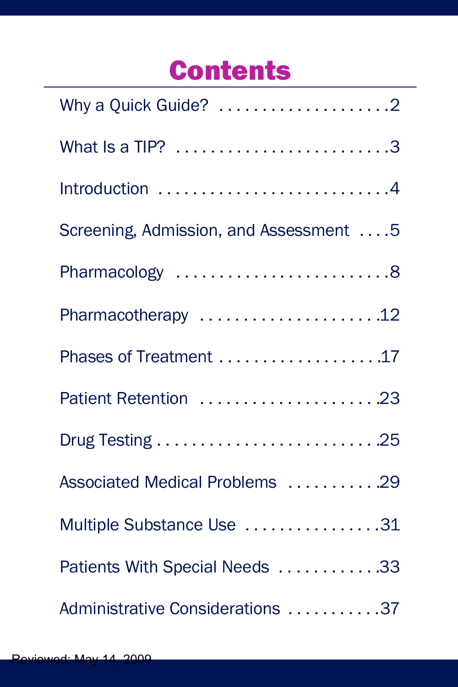## **Contents**

| Why a Quick Guide? 2                   |
|----------------------------------------|
| What Is a TIP? 3                       |
| Introduction 4                         |
| Screening, Admission, and Assessment 5 |
| Pharmacology 8                         |
| Pharmacotherapy 12                     |
| Phases of Treatment 17                 |
| Patient Retention 23                   |
|                                        |
| Associated Medical Problems 29         |
| Multiple Substance Use 31              |
| Patients With Special Needs 33         |
| Administrative Considerations 37       |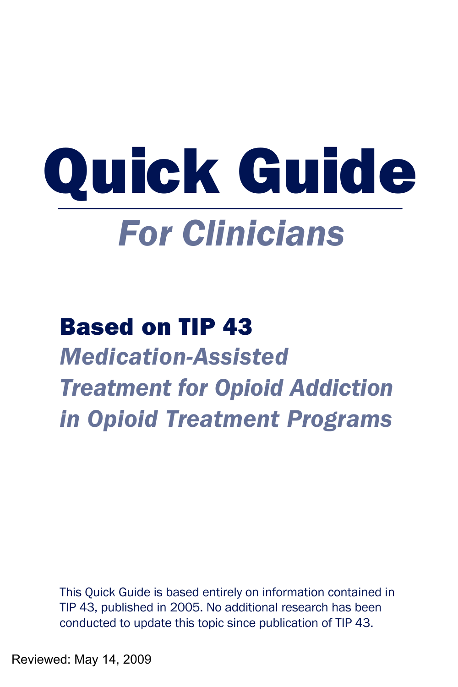# Quick Guide *For Clinicians*

## Based on TIP 43

*Medication-Assisted Treatment for Opioid Addiction in Opioid Treatment Programs*

This Quick Guide is based entirely on information contained in TIP 43, published in 2005. No additional research has been conducted to update this topic since publication of TIP 43.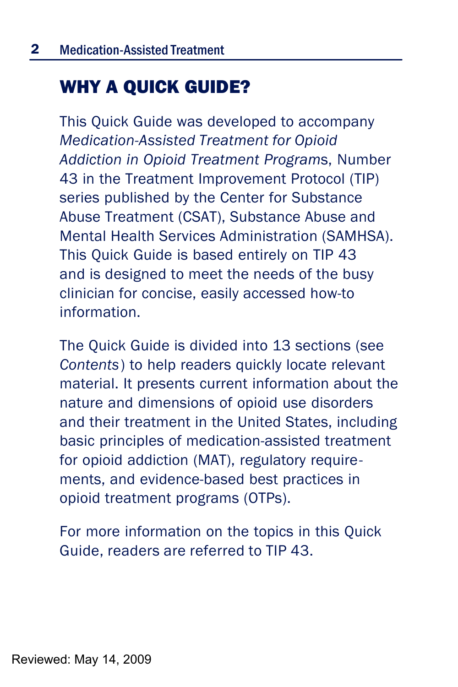## WHY A QUICK GUIDE?

This Quick Guide was developed to accompany *Medication-Assisted Treatment for Opioid Addiction in Opioid Treatment Program*s, Number 43 in the Treatment Improvement Protocol (TIP) series published by the Center for Substance Abuse Treatment (CSAT), Substance Abuse and Mental Health Services Administration (SAMHSA). This Quick Guide is based entirely on TIP 43 and is designed to meet the needs of the busy clinician for concise, easily accessed how-to information.

The Quick Guide is divided into 13 sections (see *Contents*) to help readers quickly locate relevant material. It presents current information about the nature and dimensions of opioid use disorders and their treatment in the United States, including basic principles of medication-assisted treatment for opioid addiction (MAT), regulatory requirements, and evidence-based best practices in opioid treatment programs (OTPs).

For more information on the topics in this Quick Guide, readers are referred to TIP 43.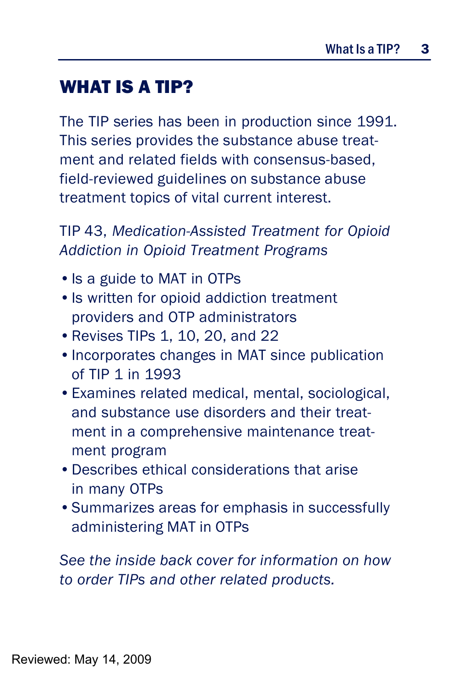## WHAT IS A TIP?

The TIP series has been in production since 1991. This series provides the substance abuse treatment and related fields with consensus-based, field-reviewed guidelines on substance abuse treatment topics of vital current interest.

#### TIP 43, *Medication-Assisted Treatment for Opioid Addiction in Opioid Treatment Programs*

- Is a guide to MAT in OTPs
- Is written for opioid addiction treatment providers and OTP administrators
- •Revises TIPs 1, 10, 20, and 22
- •Incorporates changes in MAT since publication of TIP 1 in 1993
- •Examines related medical, mental, sociological, and substance use disorders and their treatment in a comprehensive maintenance treatment program
- •Describes ethical considerations that arise in many OTPs
- •Summarizes areas for emphasis in successfully administering MAT in OTPs

*See the inside back cover for information on how to order TIPs and other related products.*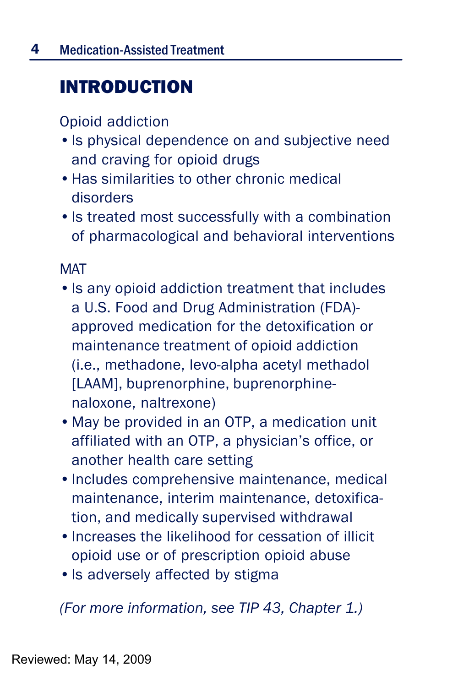## INTRODUCTION

Opioid addiction

- •Is physical dependence on and subjective need and craving for opioid drugs
- •Has similarities to other chronic medical disorders
- •Is treated most successfully with a combination of pharmacological and behavioral interventions

**MAT** 

- •Is any opioid addiction treatment that includes a U.S. Food and Drug Administration (FDA) approved medication for the detoxification or maintenance treatment of opioid addiction (i.e., methadone, levo-alpha acetyl methadol [LAAM], buprenorphine, buprenorphinenaloxone, naltrexone)
- •May be provided in an OTP, a medication unit affiliated with an OTP, a physician's office, or another health care setting
- •Includes comprehensive maintenance, medical maintenance, interim maintenance, detoxification, and medically supervised withdrawal
- •Increases the likelihood for cessation of illicit opioid use or of prescription opioid abuse
- Is adversely affected by stigma

*(For more information, see TIP 43, Chapter 1.)*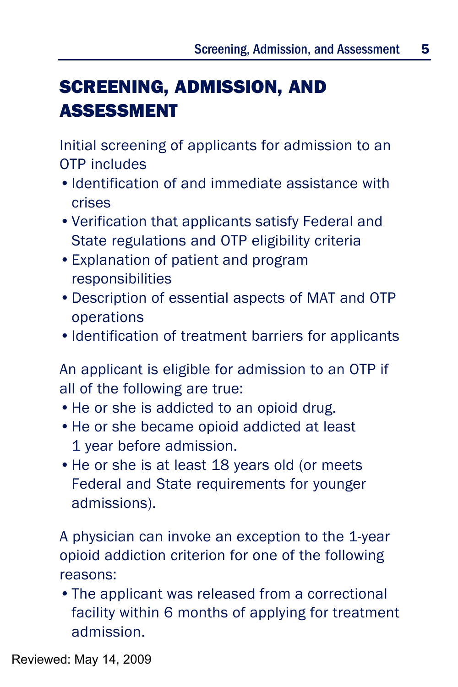## SCREENING, ADMISSION, AND ASSESSMENT

Initial screening of applicants for admission to an OTP includes

- •Identification of and immediate assistance with crises
- •Verification that applicants satisfy Federal and State regulations and OTP eligibility criteria
- •Explanation of patient and program responsibilities
- •Description of essential aspects of MAT and OTP operations
- •Identification of treatment barriers for applicants

An applicant is eligible for admission to an OTP if all of the following are true:

- •He or she is addicted to an opioid drug.
- •He or she became opioid addicted at least 1 year before admission.
- •He or she is at least 18 years old (or meets Federal and State requirements for younger admissions).

A physician can invoke an exception to the 1-year opioid addiction criterion for one of the following reasons:

•The applicant was released from a correctional facility within 6 months of applying for treatment admission.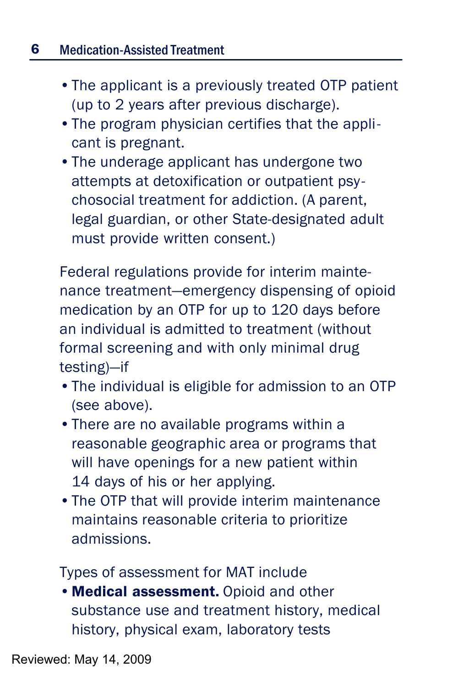- •The applicant is a previously treated OTP patient (up to 2 years after previous discharge).
- •The program physician certifies that the applicant is pregnant.
- •The underage applicant has undergone two attempts at detoxification or outpatient psychosocial treatment for addiction. (A parent, legal guardian, or other State-designated adult must provide written consent.)

Federal regulations provide for interim maintenance treatment—emergency dispensing of opioid medication by an OTP for up to 120 days before an individual is admitted to treatment (without formal screening and with only minimal drug testing)—if

- •The individual is eligible for admission to an OTP (see above).
- •There are no available programs within a reasonable geographic area or programs that will have openings for a new patient within 14 days of his or her applying.
- •The OTP that will provide interim maintenance maintains reasonable criteria to prioritize admissions.

Types of assessment for MAT include

• Medical assessment. Opioid and other substance use and treatment history, medical history, physical exam, laboratory tests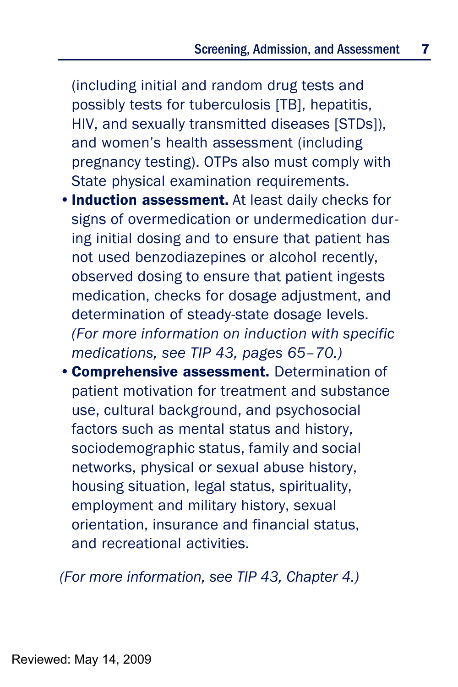(including initial and random drug tests and possibly tests for tuberculosis [TB], hepatitis, HIV, and sexually transmitted diseases [STDs]), and women's health assessment (including pregnancy testing). OTPs also must comply with State physical examination requirements.

- **Induction assessment.** At least daily checks for signs of overmedication or undermedication during initial dosing and to ensure that patient has not used benzodiazepines or alcohol recently, observed dosing to ensure that patient ingests medication, checks for dosage adjustment, and determination of steady-state dosage levels. *(For more information on induction with specific medications, see TIP 43, pages 65–70.)*
- •Comprehensive assessment. Determination of patient motivation for treatment and substance use, cultural background, and psychosocial factors such as mental status and history, sociodemographic status, family and social networks, physical or sexual abuse history, housing situation, legal status, spirituality, employment and military history, sexual orientation, insurance and financial status, and recreational activities.

*(For more information, see TIP 43, Chapter 4.)*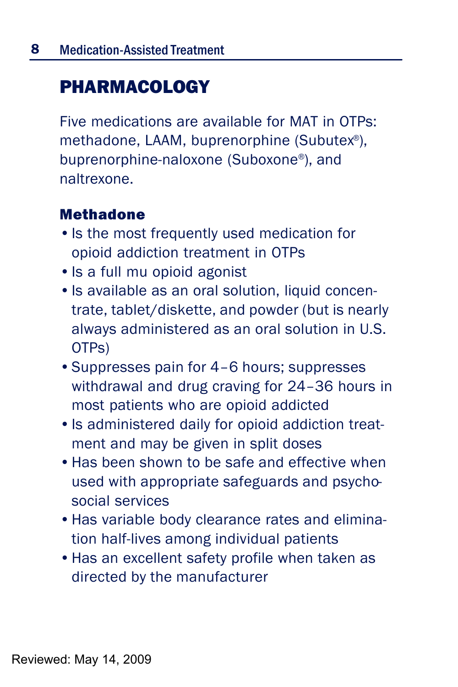## PHARMACOLOGY

Five medications are available for MAT in OTPs: methadone, LAAM, buprenorphine (Subutex®), buprenorphine-naloxone (Suboxone®), and naltrexone.

#### Methadone

- Is the most frequently used medication for opioid addiction treatment in OTPs
- •Is a full mu opioid agonist
- •Is available as an oral solution, liquid concentrate, tablet/diskette, and powder (but is nearly always administered as an oral solution in U.S. OTPs)
- •Suppresses pain for 4–6 hours; suppresses withdrawal and drug craving for 24–36 hours in most patients who are opioid addicted
- •Is administered daily for opioid addiction treatment and may be given in split doses
- •Has been shown to be safe and effective when used with appropriate safeguards and psychosocial services
- •Has variable body clearance rates and elimination half-lives among individual patients
- •Has an excellent safety profile when taken as directed by the manufacturer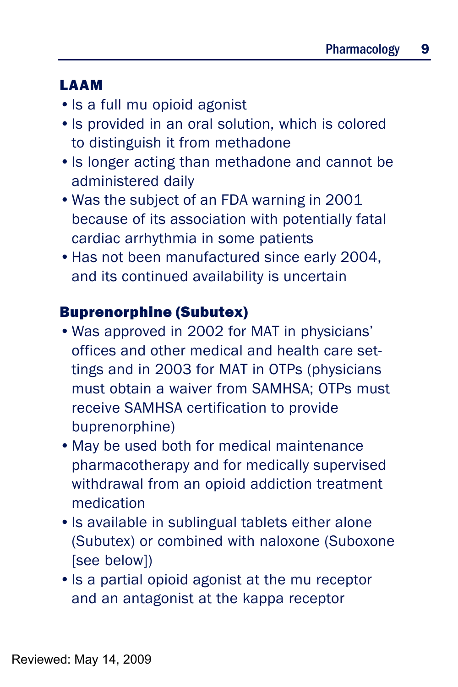#### LAAM

- Is a full mu opioid agonist
- Is provided in an oral solution, which is colored to distinguish it from methadone
- •Is longer acting than methadone and cannot be administered daily
- •Was the subject of an FDA warning in 2001 because of its association with potentially fatal cardiac arrhythmia in some patients
- •Has not been manufactured since early 2004, and its continued availability is uncertain

#### Buprenorphine (Subutex)

- •Was approved in 2002 for MAT in physicians' offices and other medical and health care settings and in 2003 for MAT in OTPs (physicians must obtain a waiver from SAMHSA; OTPs must receive SAMHSA certification to provide buprenorphine)
- •May be used both for medical maintenance pharmacotherapy and for medically supervised withdrawal from an opioid addiction treatment medication
- •Is available in sublingual tablets either alone (Subutex) or combined with naloxone (Suboxone [see below])
- •Is a partial opioid agonist at the mu receptor and an antagonist at the kappa receptor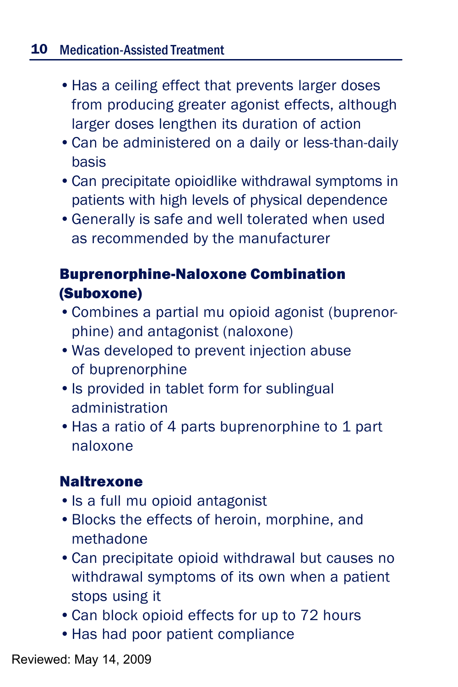- Has a ceiling effect that prevents larger doses from producing greater agonist effects, although larger doses lengthen its duration of action
- •Can be administered on a daily or less-than-daily basis
- •Can precipitate opioidlike withdrawal symptoms in patients with high levels of physical dependence
- •Generally is safe and well tolerated when used as recommended by the manufacturer

#### Buprenorphine-Naloxone Combination (Suboxone)

- •Combines a partial mu opioid agonist (buprenorphine) and antagonist (naloxone)
- •Was developed to prevent injection abuse of buprenorphine
- Is provided in tablet form for sublingual administration
- Has a ratio of 4 parts buprenorphine to 1 part naloxone

#### **Naltrexone**

- •Is a full mu opioid antagonist
- •Blocks the effects of heroin, morphine, and methadone
- •Can precipitate opioid withdrawal but causes no withdrawal symptoms of its own when a patient stops using it
- •Can block opioid effects for up to 72 hours
- •Has had poor patient compliance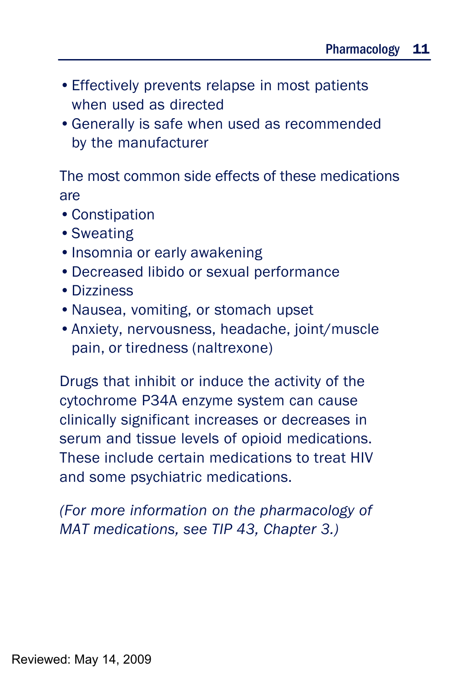- •Effectively prevents relapse in most patients when used as directed
- •Generally is safe when used as recommended by the manufacturer

The most common side effects of these medications are

- •Constipation
- •Sweating
- Insomnia or early awakening
- •Decreased libido or sexual performance
- •Dizziness
- •Nausea, vomiting, or stomach upset
- •Anxiety, nervousness, headache, joint/muscle pain, or tiredness (naltrexone)

Drugs that inhibit or induce the activity of the cytochrome P34A enzyme system can cause clinically significant increases or decreases in serum and tissue levels of opioid medications. These include certain medications to treat HIV and some psychiatric medications.

*(For more information on the pharmacology of MAT medications, see TIP 43, Chapter 3.)*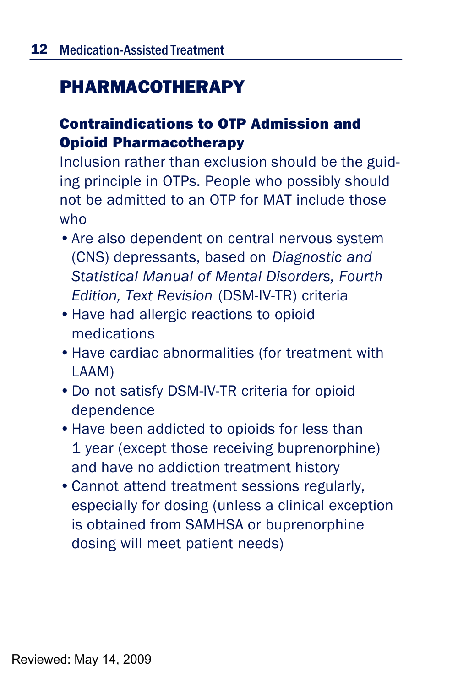## PHARMACOTHERAPY

#### Contraindications to OTP Admission and Opioid Pharmacotherapy

Inclusion rather than exclusion should be the guiding principle in OTPs. People who possibly should not be admitted to an OTP for MAT include those who

- •Are also dependent on central nervous system (CNS) depressants, based on *Diagnostic and Statistical Manual of Mental Disorders, Fourth Edition, Text Revision* (DSM-IV-TR) criteria
- •Have had allergic reactions to opioid medications
- •Have cardiac abnormalities (for treatment with LAAM)
- •Do not satisfy DSM-IV-TR criteria for opioid dependence
- •Have been addicted to opioids for less than 1 year (except those receiving buprenorphine) and have no addiction treatment history
- •Cannot attend treatment sessions regularly, especially for dosing (unless a clinical exception is obtained from SAMHSA or buprenorphine dosing will meet patient needs)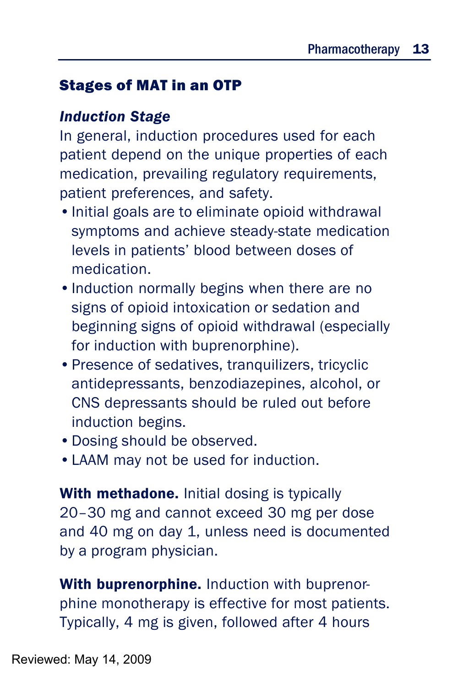#### Stages of MAT in an OTP

#### *Induction Stage*

In general, induction procedures used for each patient depend on the unique properties of each medication, prevailing regulatory requirements, patient preferences, and safety.

- •Initial goals are to eliminate opioid withdrawal symptoms and achieve steady-state medication levels in patients' blood between doses of medication.
- Induction normally begins when there are no signs of opioid intoxication or sedation and beginning signs of opioid withdrawal (especially for induction with buprenorphine).
- •Presence of sedatives, tranquilizers, tricyclic antidepressants, benzodiazepines, alcohol, or CNS depressants should be ruled out before induction begins.
- •Dosing should be observed.
- •LAAM may not be used for induction.

With methadone. Initial dosing is typically 20–30 mg and cannot exceed 30 mg per dose and 40 mg on day 1, unless need is documented by a program physician.

With buprenorphine. Induction with buprenorphine monotherapy is effective for most patients. Typically, 4 mg is given, followed after 4 hours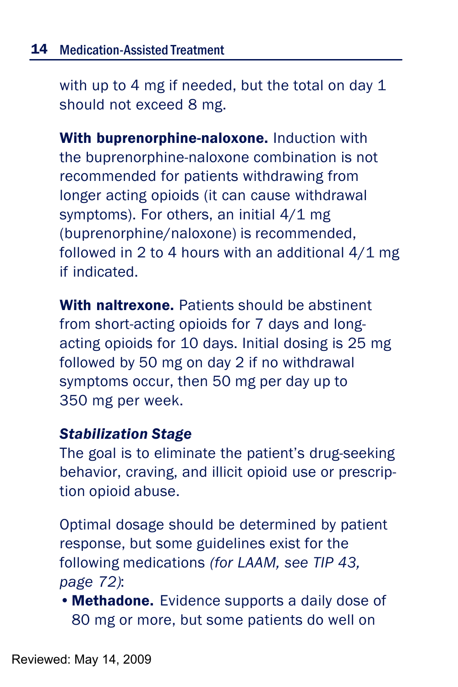with up to 4 mg if needed, but the total on day 1 should not exceed 8 mg.

With buprenorphine-naloxone. Induction with the buprenorphine-naloxone combination is not recommended for patients withdrawing from longer acting opioids (it can cause withdrawal symptoms). For others, an initial 4/1 mg (buprenorphine/naloxone) is recommended, followed in 2 to 4 hours with an additional 4/1 mg if indicated.

With naltrexone. Patients should be abstinent from short-acting opioids for 7 days and longacting opioids for 10 days. Initial dosing is 25 mg followed by 50 mg on day 2 if no withdrawal symptoms occur, then 50 mg per day up to 350 mg per week.

#### *Stabilization Stage*

The goal is to eliminate the patient's drug-seeking behavior, craving, and illicit opioid use or prescription opioid abuse.

Optimal dosage should be determined by patient response, but some guidelines exist for the following medications *(for LAAM, see TIP 43, page 72)*:

• Methadone. Evidence supports a daily dose of 80 mg or more, but some patients do well on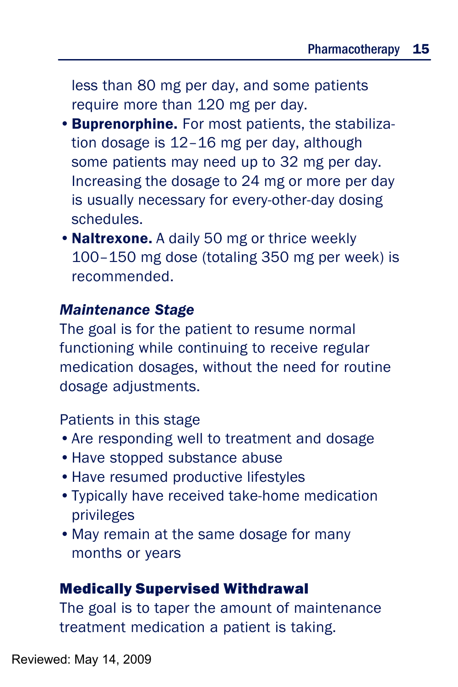less than 80 mg per day, and some patients require more than 120 mg per day.

- **Buprenorphine.** For most patients, the stabilization dosage is 12–16 mg per day, although some patients may need up to 32 mg per day. Increasing the dosage to 24 mg or more per day is usually necessary for every-other-day dosing schedules.
- Naltrexone. A daily 50 mg or thrice weekly 100–150 mg dose (totaling 350 mg per week) is recommended.

#### *Maintenance Stage*

The goal is for the patient to resume normal functioning while continuing to receive regular medication dosages, without the need for routine dosage adjustments.

#### Patients in this stage

- •Are responding well to treatment and dosage
- •Have stopped substance abuse
- •Have resumed productive lifestyles
- •Typically have received take-home medication privileges
- •May remain at the same dosage for many months or years

#### Medically Supervised Withdrawal

The goal is to taper the amount of maintenance treatment medication a patient is taking.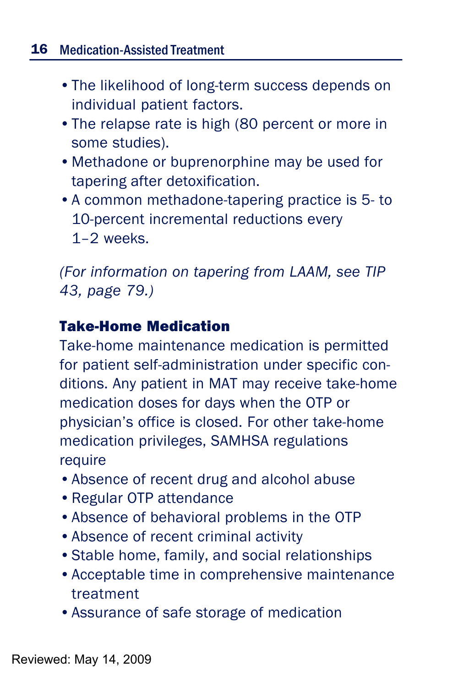- •The likelihood of long-term success depends on individual patient factors.
- •The relapse rate is high (80 percent or more in some studies).
- •Methadone or buprenorphine may be used for tapering after detoxification.
- •A common methadone-tapering practice is 5- to 10-percent incremental reductions every 1–2 weeks.

*(For information on tapering from LAAM, see TIP 43, page 79.)*

#### Take-Home Medication

Take-home maintenance medication is permitted for patient self-administration under specific conditions. Any patient in MAT may receive take-home medication doses for days when the OTP or physician's office is closed. For other take-home medication privileges, SAMHSA regulations require

- •Absence of recent drug and alcohol abuse
- •Regular OTP attendance
- •Absence of behavioral problems in the OTP
- •Absence of recent criminal activity
- •Stable home, family, and social relationships
- •Acceptable time in comprehensive maintenance treatment
- •Assurance of safe storage of medication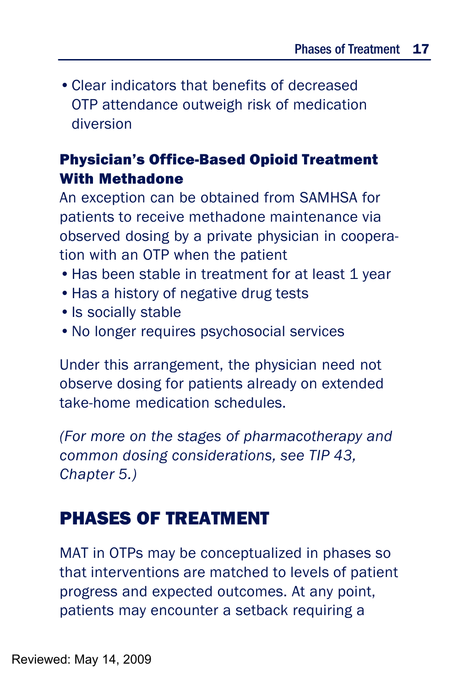•Clear indicators that benefits of decreased OTP attendance outweigh risk of medication diversion

#### Physician's Office-Based Opioid Treatment With Methadone

An exception can be obtained from SAMHSA for patients to receive methadone maintenance via observed dosing by a private physician in cooperation with an OTP when the patient

- Has been stable in treatment for at least 1 year
- •Has a history of negative drug tests
- •Is socially stable
- •No longer requires psychosocial services

Under this arrangement, the physician need not observe dosing for patients already on extended take-home medication schedules.

*(For more on the stages of pharmacotherapy and common dosing considerations, see TIP 43, Chapter 5.)*

## PHASES OF TREATMENT

MAT in OTPs may be conceptualized in phases so that interventions are matched to levels of patient progress and expected outcomes. At any point, patients may encounter a setback requiring a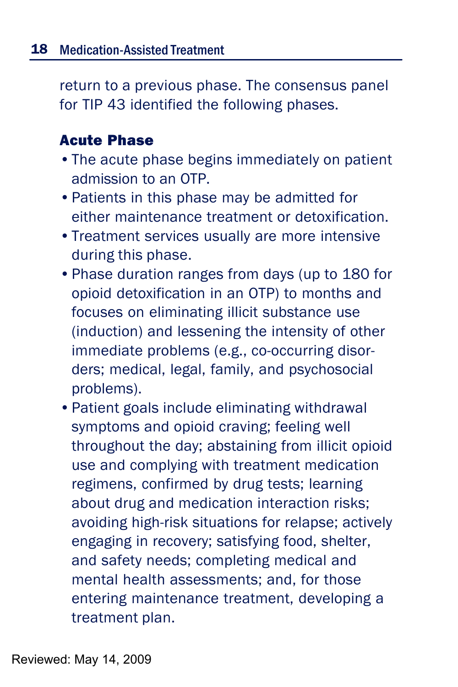return to a previous phase. The consensus panel for TIP 43 identified the following phases.

#### Acute Phase

- •The acute phase begins immediately on patient admission to an OTP.
- •Patients in this phase may be admitted for either maintenance treatment or detoxification.
- •Treatment services usually are more intensive during this phase.
- •Phase duration ranges from days (up to 180 for opioid detoxification in an OTP) to months and focuses on eliminating illicit substance use (induction) and lessening the intensity of other immediate problems (e.g., co-occurring disorders; medical, legal, family, and psychosocial problems).
- •Patient goals include eliminating withdrawal symptoms and opioid craving; feeling well throughout the day; abstaining from illicit opioid use and complying with treatment medication regimens, confirmed by drug tests; learning about drug and medication interaction risks; avoiding high-risk situations for relapse; actively engaging in recovery; satisfying food, shelter, and safety needs; completing medical and mental health assessments; and, for those entering maintenance treatment, developing a treatment plan.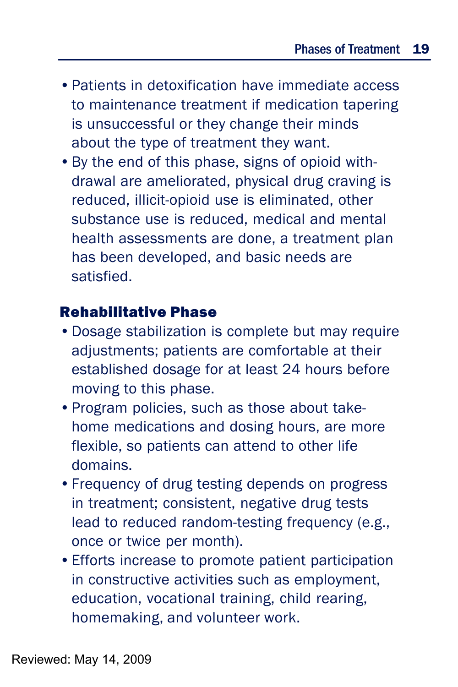- •Patients in detoxification have immediate access to maintenance treatment if medication tapering is unsuccessful or they change their minds about the type of treatment they want.
- •By the end of this phase, signs of opioid withdrawal are ameliorated, physical drug craving is reduced, illicit-opioid use is eliminated, other substance use is reduced, medical and mental health assessments are done, a treatment plan has been developed, and basic needs are satisfied.

#### Rehabilitative Phase

- •Dosage stabilization is complete but may require adjustments; patients are comfortable at their established dosage for at least 24 hours before moving to this phase.
- •Program policies, such as those about takehome medications and dosing hours, are more flexible, so patients can attend to other life domains.
- •Frequency of drug testing depends on progress in treatment; consistent, negative drug tests lead to reduced random-testing frequency (e.g., once or twice per month).
- •Efforts increase to promote patient participation in constructive activities such as employment, education, vocational training, child rearing, homemaking, and volunteer work.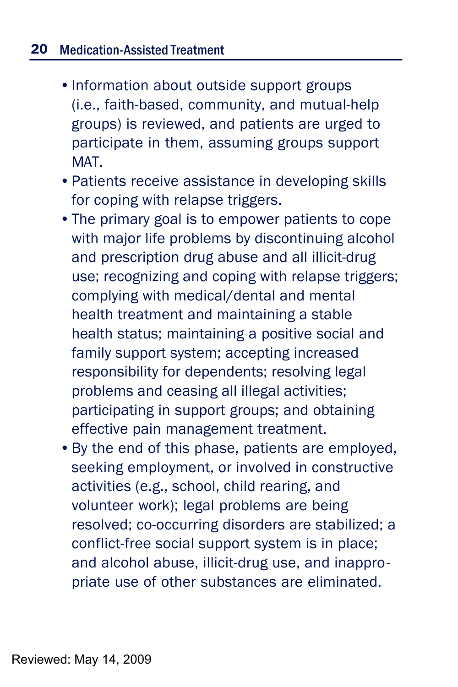- Information about outside support groups (i.e., faith-based, community, and mutual-help groups) is reviewed, and patients are urged to participate in them, assuming groups support MAT.
- •Patients receive assistance in developing skills for coping with relapse triggers.
- •The primary goal is to empower patients to cope with major life problems by discontinuing alcohol and prescription drug abuse and all illicit-drug use; recognizing and coping with relapse triggers; complying with medical/dental and mental health treatment and maintaining a stable health status; maintaining a positive social and family support system; accepting increased responsibility for dependents; resolving legal problems and ceasing all illegal activities; participating in support groups; and obtaining effective pain management treatment.
- •By the end of this phase, patients are employed, seeking employment, or involved in constructive activities (e.g., school, child rearing, and volunteer work); legal problems are being resolved; co-occurring disorders are stabilized; a conflict-free social support system is in place; and alcohol abuse, illicit-drug use, and inappropriate use of other substances are eliminated.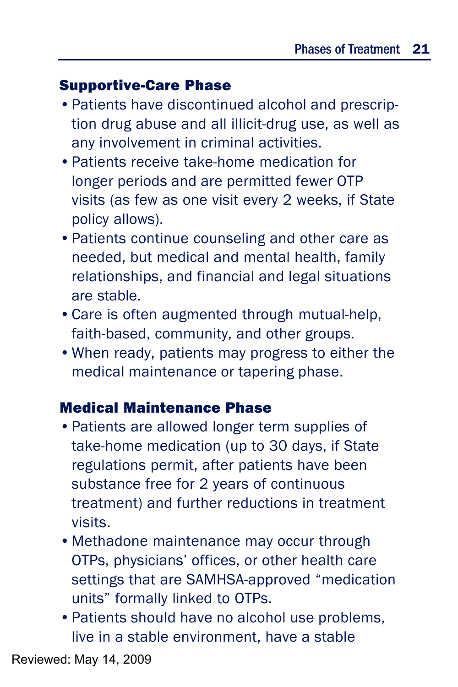#### Supportive-Care Phase

- •Patients have discontinued alcohol and prescription drug abuse and all illicit-drug use, as well as any involvement in criminal activities.
- •Patients receive take-home medication for longer periods and are permitted fewer OTP visits (as few as one visit every 2 weeks, if State policy allows).
- •Patients continue counseling and other care as needed, but medical and mental health, family relationships, and financial and legal situations are stable.
- •Care is often augmented through mutual-help, faith-based, community, and other groups.
- •When ready, patients may progress to either the medical maintenance or tapering phase.

#### Medical Maintenance Phase

- •Patients are allowed longer term supplies of take-home medication (up to 30 days, if State regulations permit, after patients have been substance free for 2 years of continuous treatment) and further reductions in treatment visits.
- •Methadone maintenance may occur through OTPs, physicians' offices, or other health care settings that are SAMHSA-approved "medication units" formally linked to OTPs.
- •Patients should have no alcohol use problems, live in a stable environment, have a stable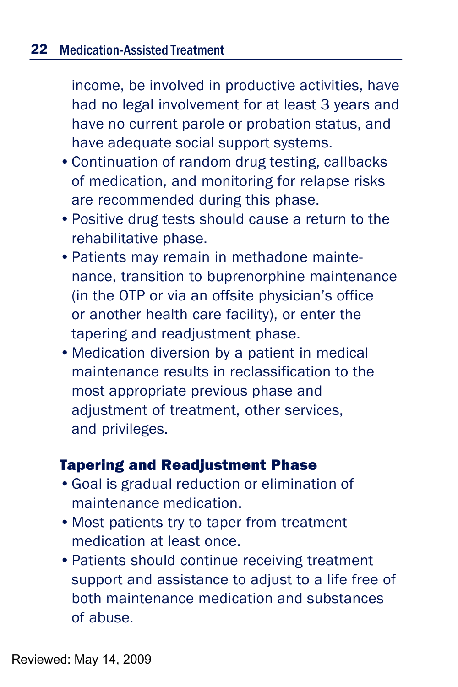income, be involved in productive activities, have had no legal involvement for at least 3 years and have no current parole or probation status, and have adequate social support systems.

- •Continuation of random drug testing, callbacks of medication, and monitoring for relapse risks are recommended during this phase.
- •Positive drug tests should cause a return to the rehabilitative phase.
- •Patients may remain in methadone maintenance, transition to buprenorphine maintenance (in the OTP or via an offsite physician's office or another health care facility), or enter the tapering and readjustment phase.
- •Medication diversion by a patient in medical maintenance results in reclassification to the most appropriate previous phase and adiustment of treatment, other services, and privileges.

#### Tapering and Readjustment Phase

- •Goal is gradual reduction or elimination of maintenance medication.
- •Most patients try to taper from treatment medication at least once.
- •Patients should continue receiving treatment support and assistance to adjust to a life free of both maintenance medication and substances of abuse.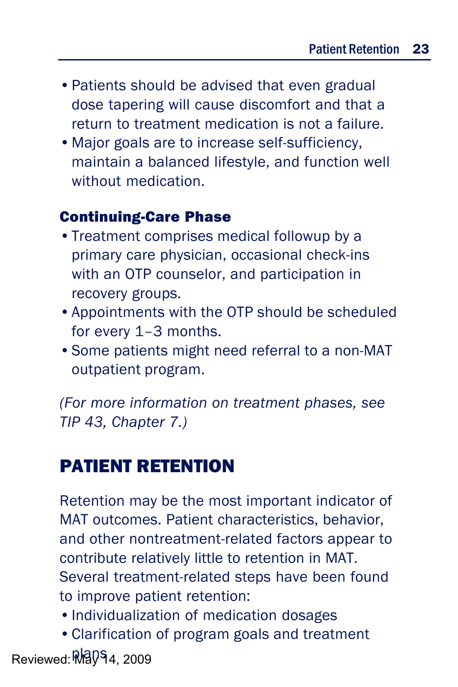- •Patients should be advised that even gradual dose tapering will cause discomfort and that a return to treatment medication is not a failure.
- •Major goals are to increase self-sufficiency, maintain a balanced lifestyle, and function well without medication.

#### Continuing-Care Phase

- •Treatment comprises medical followup by a primary care physician, occasional check-ins with an OTP counselor, and participation in recovery groups.
- •Appointments with the OTP should be scheduled for every 1–3 months.
- •Some patients might need referral to a non-MAT outpatient program.

*(For more information on treatment phases, see TIP 43, Chapter 7.)*

## PATIENT RETENTION

Retention may be the most important indicator of MAT outcomes. Patient characteristics, behavior, and other nontreatment-related factors appear to contribute relatively little to retention in MAT. Several treatment-related steps have been found to improve patient retention:

- •Individualization of medication dosages
- •Clarification of program goals and treatment Reviewed: May 94, 2009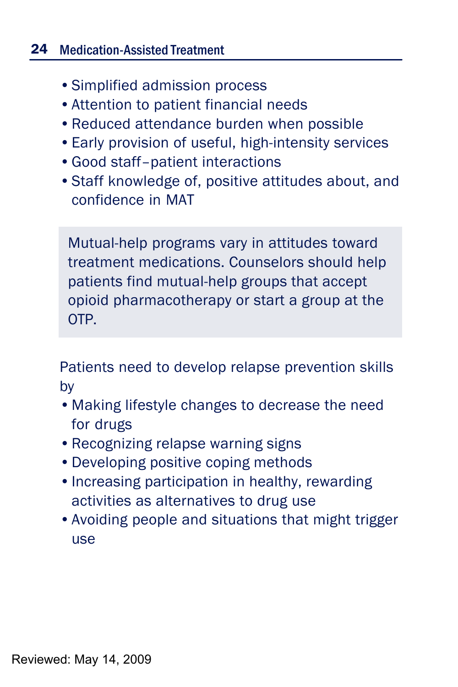- •Simplified admission process
- •Attention to patient financial needs
- •Reduced attendance burden when possible
- •Early provision of useful, high-intensity services
- •Good staff–patient interactions
- •Staff knowledge of, positive attitudes about, and confidence in MAT

Mutual-help programs vary in attitudes toward treatment medications. Counselors should help patients find mutual-help groups that accept opioid pharmacotherapy or start a group at the OTP.

Patients need to develop relapse prevention skills by

- •Making lifestyle changes to decrease the need for drugs
- •Recognizing relapse warning signs
- •Developing positive coping methods
- •Increasing participation in healthy, rewarding activities as alternatives to drug use
- •Avoiding people and situations that might trigger use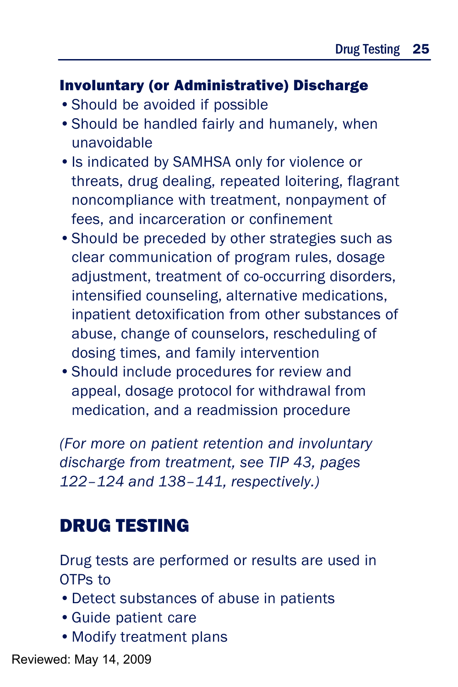#### Involuntary (or Administrative) Discharge

- •Should be avoided if possible
- •Should be handled fairly and humanely, when unavoidable
- •Is indicated by SAMHSA only for violence or threats, drug dealing, repeated loitering, flagrant noncompliance with treatment, nonpayment of fees, and incarceration or confinement
- •Should be preceded by other strategies such as clear communication of program rules, dosage adjustment, treatment of co-occurring disorders, intensified counseling, alternative medications, inpatient detoxification from other substances of abuse, change of counselors, rescheduling of dosing times, and family intervention
- •Should include procedures for review and appeal, dosage protocol for withdrawal from medication, and a readmission procedure

*(For more on patient retention and involuntary discharge from treatment, see TIP 43, pages 122–124 and 138–141, respectively.)*

## DRUG TESTING

Drug tests are performed or results are used in OTPs to

- •Detect substances of abuse in patients
- •Guide patient care
- •Modify treatment plans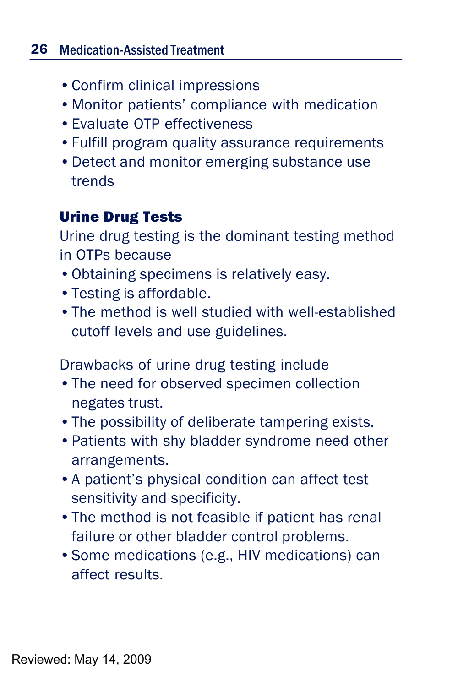- •Confirm clinical impressions
- •Monitor patients' compliance with medication
- •Evaluate OTP effectiveness
- •Fulfill program quality assurance requirements
- •Detect and monitor emerging substance use trends

#### Urine Drug Tests

Urine drug testing is the dominant testing method in OTPs because

- •Obtaining specimens is relatively easy.
- •Testing is affordable.
- •The method is well studied with well-established cutoff levels and use guidelines.

Drawbacks of urine drug testing include

- •The need for observed specimen collection negates trust.
- •The possibility of deliberate tampering exists.
- •Patients with shy bladder syndrome need other arrangements.
- •A patient's physical condition can affect test sensitivity and specificity.
- •The method is not feasible if patient has renal failure or other bladder control problems.
- •Some medications (e.g., HIV medications) can affect results.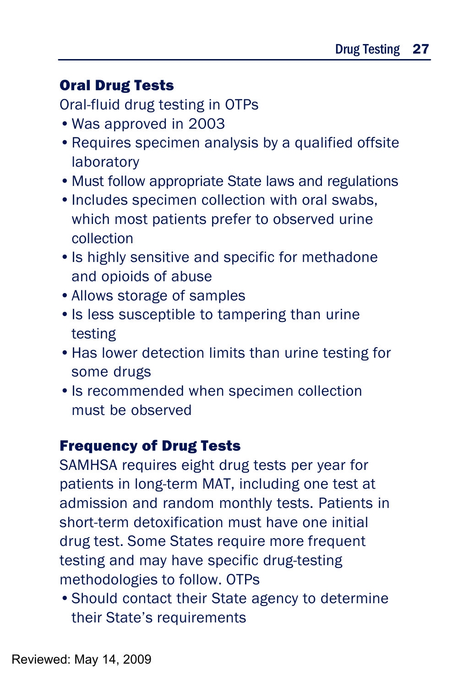#### Oral Drug Tests

Oral-fluid drug testing in OTPs

- •Was approved in 2003
- •Requires specimen analysis by a qualified offsite laboratory
- •Must follow appropriate State laws and regulations
- •Includes specimen collection with oral swabs, which most patients prefer to observed urine collection
- •Is highly sensitive and specific for methadone and opioids of abuse
- •Allows storage of samples
- Is less susceptible to tampering than urine testing
- •Has lower detection limits than urine testing for some drugs
- •Is recommended when specimen collection must be observed

#### Frequency of Drug Tests

SAMHSA requires eight drug tests per year for patients in long-term MAT, including one test at admission and random monthly tests. Patients in short-term detoxification must have one initial drug test. Some States require more frequent testing and may have specific drug-testing methodologies to follow. OTPs

•Should contact their State agency to determine their State's requirements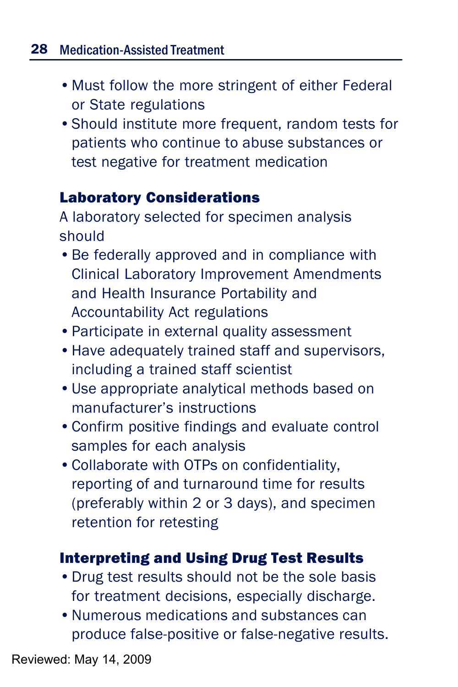- Must follow the more stringent of either Federal or State regulations
- •Should institute more frequent, random tests for patients who continue to abuse substances or test negative for treatment medication

#### Laboratory Considerations

A laboratory selected for specimen analysis should

- •Be federally approved and in compliance with Clinical Laboratory Improvement Amendments and Health Insurance Portability and Accountability Act regulations
- •Participate in external quality assessment
- •Have adequately trained staff and supervisors, including a trained staff scientist
- •Use appropriate analytical methods based on manufacturer's instructions
- •Confirm positive findings and evaluate control samples for each analysis
- •Collaborate with OTPs on confidentiality, reporting of and turnaround time for results (preferably within 2 or 3 days), and specimen retention for retesting

#### Interpreting and Using Drug Test Results

- •Drug test results should not be the sole basis for treatment decisions, especially discharge.
- •Numerous medications and substances can produce false-positive or false-negative results.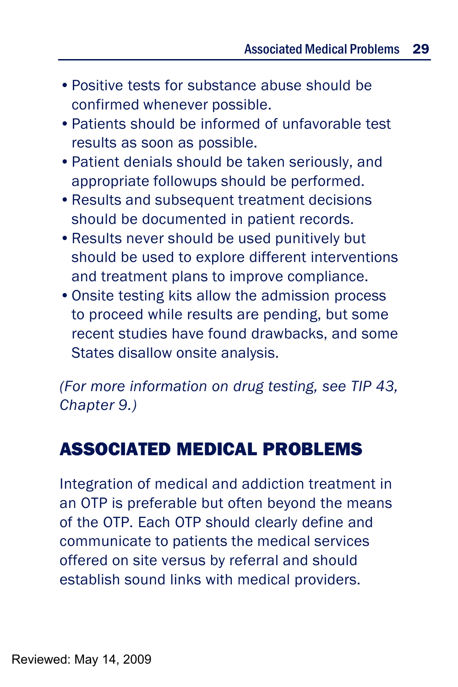- •Positive tests for substance abuse should be confirmed whenever possible.
- •Patients should be informed of unfavorable test results as soon as possible.
- •Patient denials should be taken seriously, and appropriate followups should be performed.
- Results and subsequent treatment decisions should be documented in patient records.
- •Results never should be used punitively but should be used to explore different interventions and treatment plans to improve compliance.
- •Onsite testing kits allow the admission process to proceed while results are pending, but some recent studies have found drawbacks, and some States disallow onsite analysis.

*(For more information on drug testing, see TIP 43, Chapter 9.)*

## ASSOCIATED MEDICAL PROBLEMS

Integration of medical and addiction treatment in an OTP is preferable but often beyond the means of the OTP. Each OTP should clearly define and communicate to patients the medical services offered on site versus by referral and should establish sound links with medical providers.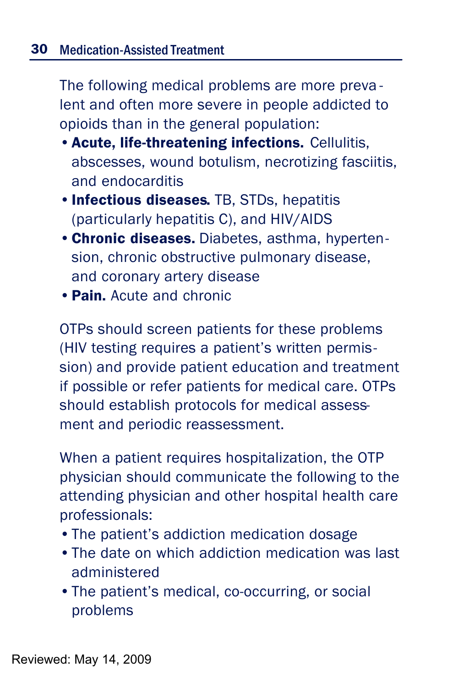The following medical problems are more preva lent and often more severe in people addicted to opioids than in the general population:

- •Acute, life-threatening infections. Cellulitis, abscesses, wound botulism, necrotizing fasciitis, and endocarditis
- •Infectious diseases. TB, STDs, hepatitis (particularly hepatitis C), and HIV/AIDS
- •Chronic diseases. Diabetes, asthma, hypertension, chronic obstructive pulmonary disease, and coronary artery disease
- Pain. Acute and chronic

OTPs should screen patients for these problems (HIV testing requires a patient's written permission) and provide patient education and treatment if possible or refer patients for medical care. OTPs should establish protocols for medical assessment and periodic reassessment.

When a patient requires hospitalization, the OTP physician should communicate the following to the attending physician and other hospital health care professionals:

- •The patient's addiction medication dosage
- •The date on which addiction medication was last administered
- •The patient's medical, co-occurring, or social problems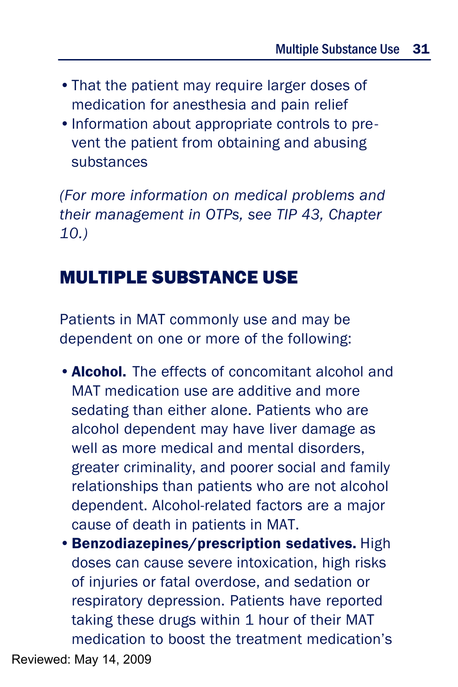- •That the patient may require larger doses of medication for anesthesia and pain relief
- •Information about appropriate controls to prevent the patient from obtaining and abusing substances

*(For more information on medical problems and their management in OTPs, see TIP 43, Chapter 10.)*

## MULTIPLE SUBSTANCE USE

Patients in MAT commonly use and may be dependent on one or more of the following:

- **Alcohol.** The effects of concomitant alcohol and MAT medication use are additive and more sedating than either alone. Patients who are alcohol dependent may have liver damage as well as more medical and mental disorders, greater criminality, and poorer social and family relationships than patients who are not alcohol dependent. Alcohol-related factors are a major cause of death in patients in MAT.
- •Benzodiazepines/prescription sedatives. High doses can cause severe intoxication, high risks of injuries or fatal overdose, and sedation or respiratory depression. Patients have reported taking these drugs within 1 hour of their MAT medication to boost the treatment medication's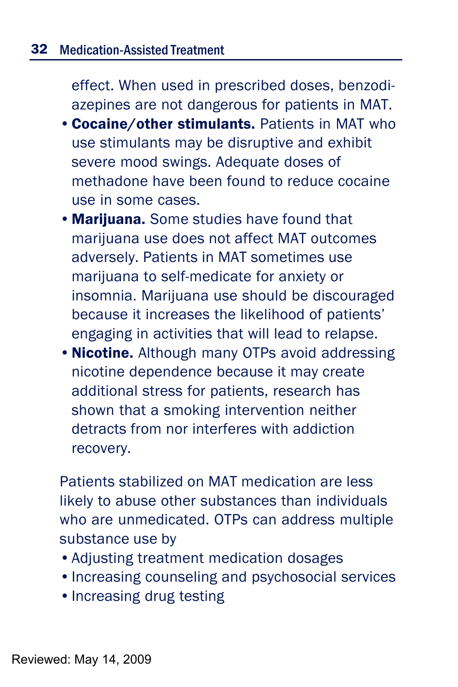effect. When used in prescribed doses, benzodiazepines are not dangerous for patients in MAT.

- •Cocaine/other stimulants. Patients in MAT who use stimulants may be disruptive and exhibit severe mood swings. Adequate doses of methadone have been found to reduce cocaine use in some cases.
- Marijuana. Some studies have found that marijuana use does not affect MAT outcomes adversely. Patients in MAT sometimes use marijuana to self-medicate for anxiety or insomnia. Marijuana use should be discouraged because it increases the likelihood of patients' engaging in activities that will lead to relapse.
- Nicotine. Although many OTPs avoid addressing nicotine dependence because it may create additional stress for patients, research has shown that a smoking intervention neither detracts from nor interferes with addiction recovery.

Patients stabilized on MAT medication are less likely to abuse other substances than individuals who are unmedicated. OTPs can address multiple substance use by

- •Adjusting treatment medication dosages
- •Increasing counseling and psychosocial services
- Increasing drug testing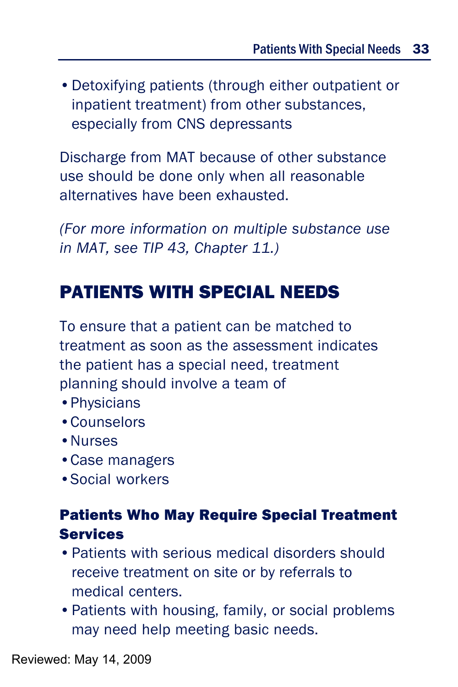•Detoxifying patients (through either outpatient or inpatient treatment) from other substances, especially from CNS depressants

Discharge from MAT because of other substance use should be done only when all reasonable alternatives have been exhausted.

*(For more information on multiple substance use in MAT, see TIP 43, Chapter 11.)*

## PATIENTS WITH SPECIAL NEEDS

To ensure that a patient can be matched to treatment as soon as the assessment indicates the patient has a special need, treatment planning should involve a team of

- •Physicians
- •Counselors
- •Nurses
- •Case managers
- •Social workers

#### Patients Who May Require Special Treatment **Services**

- •Patients with serious medical disorders should receive treatment on site or by referrals to medical centers.
- •Patients with housing, family, or social problems may need help meeting basic needs.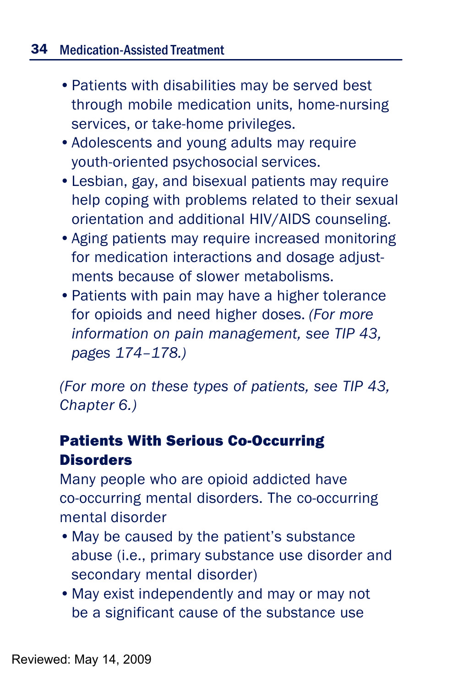- •Patients with disabilities may be served best through mobile medication units, home-nursing services, or take-home privileges.
- •Adolescents and young adults may require youth-oriented psychosocial services.
- •Lesbian, gay, and bisexual patients may require help coping with problems related to their sexual orientation and additional HIV/AIDS counseling.
- Aging patients may require increased monitoring for medication interactions and dosage adjustments because of slower metabolisms.
- •Patients with pain may have a higher tolerance for opioids and need higher doses. *(For more information on pain management, see TIP 43, pages 174–178.)*

*(For more on these types of patients, see TIP 43, Chapter 6.)*

#### Patients With Serious Co-Occurring **Disorders**

Many people who are opioid addicted have co-occurring mental disorders. The co-occurring mental disorder

- •May be caused by the patient's substance abuse (i.e., primary substance use disorder and secondary mental disorder)
- •May exist independently and may or may not be a significant cause of the substance use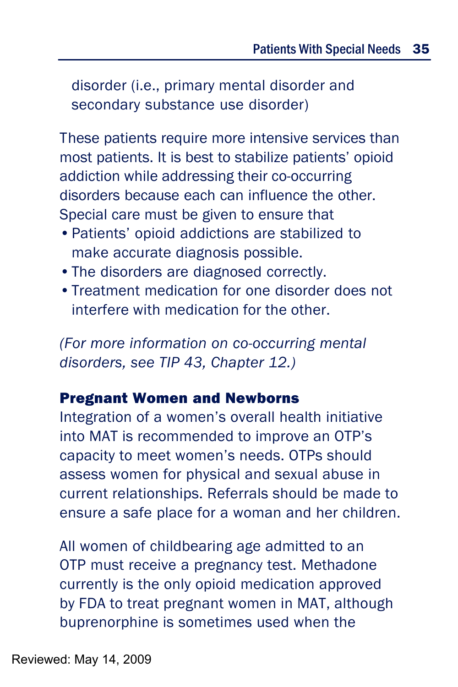disorder (i.e., primary mental disorder and secondary substance use disorder)

These patients require more intensive services than most patients. It is best to stabilize patients' opioid addiction while addressing their co-occurring disorders because each can influence the other. Special care must be given to ensure that

- •Patients' opioid addictions are stabilized to make accurate diagnosis possible.
- •The disorders are diagnosed correctly.
- •Treatment medication for one disorder does not interfere with medication for the other.

*(For more information on co-occurring mental disorders, see TIP 43, Chapter 12.)*

#### Pregnant Women and Newborns

Integration of a women's overall health initiative into MAT is recommended to improve an OTP's capacity to meet women's needs. OTPs should assess women for physical and sexual abuse in current relationships. Referrals should be made to ensure a safe place for a woman and her children.

All women of childbearing age admitted to an OTP must receive a pregnancy test. Methadone currently is the only opioid medication approved by FDA to treat pregnant women in MAT, although buprenorphine is sometimes used when the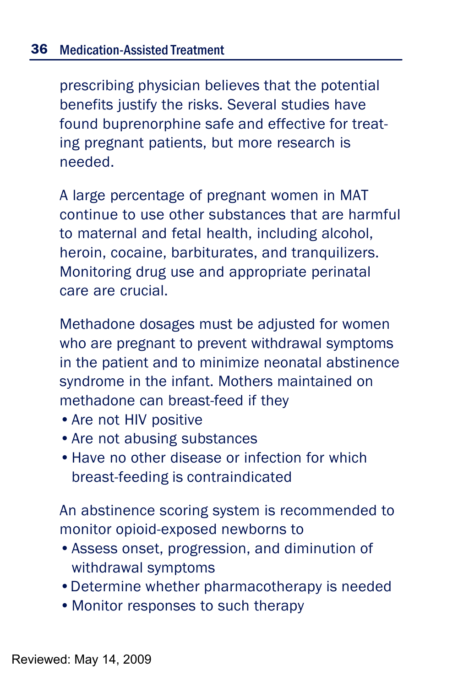prescribing physician believes that the potential benefits justify the risks. Several studies have found buprenorphine safe and effective for treating pregnant patients, but more research is needed.

A large percentage of pregnant women in MAT continue to use other substances that are harmful to maternal and fetal health, including alcohol, heroin, cocaine, barbiturates, and tranquilizers. Monitoring drug use and appropriate perinatal care are crucial.

Methadone dosages must be adjusted for women who are pregnant to prevent withdrawal symptoms in the patient and to minimize neonatal abstinence syndrome in the infant. Mothers maintained on methadone can breast-feed if they

- •Are not HIV positive
- •Are not abusing substances
- •Have no other disease or infection for which breast-feeding is contraindicated

An abstinence scoring system is recommended to monitor opioid-exposed newborns to

- •Assess onset, progression, and diminution of withdrawal symptoms
- •Determine whether pharmacotherapy is needed
- •Monitor responses to such therapy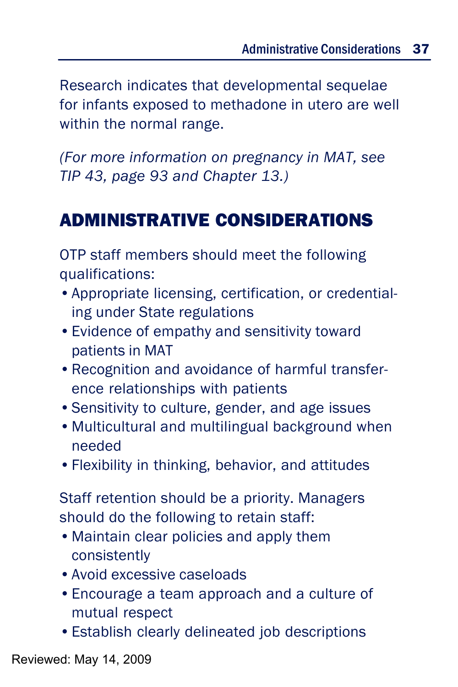Research indicates that developmental sequelae for infants exposed to methadone in utero are well within the normal range.

*(For more information on pregnancy in MAT, see TIP 43, page 93 and Chapter 13.)*

## ADMINISTRATIVE CONSIDERATIONS

OTP staff members should meet the following qualifications:

- •Appropriate licensing, certification, or credentialing under State regulations
- •Evidence of empathy and sensitivity toward patients in MAT
- •Recognition and avoidance of harmful transference relationships with patients
- •Sensitivity to culture, gender, and age issues
- •Multicultural and multilingual background when needed
- •Flexibility in thinking, behavior, and attitudes

Staff retention should be a priority. Managers should do the following to retain staff:

- •Maintain clear policies and apply them consistently
- •Avoid excessive caseloads
- •Encourage a team approach and a culture of mutual respect
- •Establish clearly delineated job descriptions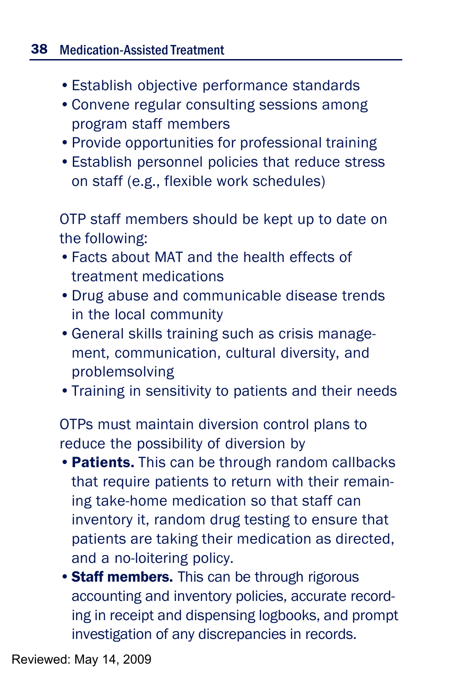- •Establish objective performance standards
- •Convene regular consulting sessions among program staff members
- •Provide opportunities for professional training
- •Establish personnel policies that reduce stress on staff (e.g., flexible work schedules)

OTP staff members should be kept up to date on the following:

- •Facts about MAT and the health effects of treatment medications
- •Drug abuse and communicable disease trends in the local community
- •General skills training such as crisis management, communication, cultural diversity, and problemsolving
- •Training in sensitivity to patients and their needs

OTPs must maintain diversion control plans to reduce the possibility of diversion by

- Patients. This can be through random callbacks that require patients to return with their remaining take-home medication so that staff can inventory it, random drug testing to ensure that patients are taking their medication as directed, and a no-loitering policy.
- Staff members. This can be through rigorous accounting and inventory policies, accurate recording in receipt and dispensing logbooks, and prompt investigation of any discrepancies in records.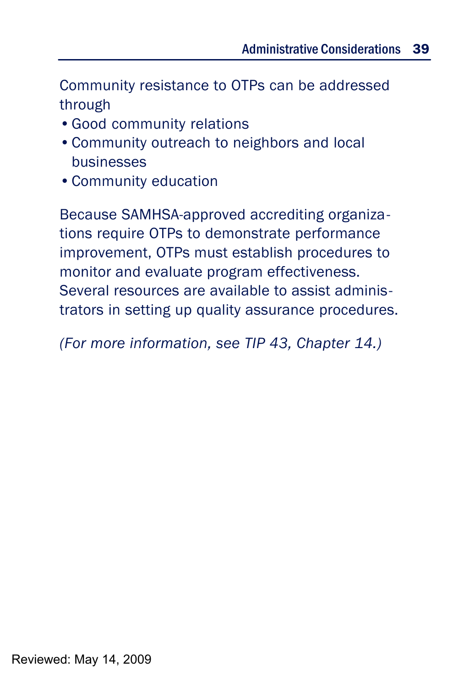Community resistance to OTPs can be addressed through

- •Good community relations
- •Community outreach to neighbors and local businesses
- •Community education

Because SAMHSA-approved accrediting organizations require OTPs to demonstrate performance improvement, OTPs must establish procedures to monitor and evaluate program effectiveness. Several resources are available to assist administrators in setting up quality assurance procedures.

*(For more information, see TIP 43, Chapter 14.)*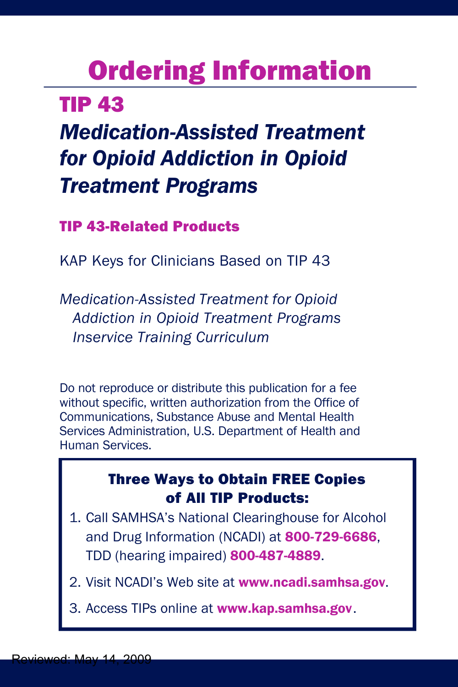## Ordering Information

## TIP 43

## *Medication-Assisted Treatment for Opioid Addiction in Opioid Treatment Programs*

TIP 43-Related Products

KAP Keys for Clinicians Based on TIP 43

*Medication-Assisted Treatment for Opioid Addiction in Opioid Treatment Programs Inservice Training Curriculum*

Do not reproduce or distribute this publication for a fee without specific, written authorization from the Office of Communications, Substance Abuse and Mental Health Services Administration, U.S. Department of Health and Human Services.

#### Three Ways to Obtain FREE Copies of All TIP Products:

- 1. Call SAMHSA's National Clearinghouse for Alcohol and Drug Information (NCADI) at 800-729-6686, TDD (hearing impaired) 800-487-4889.
- 2. Visit NCADI's Web site at www.ncadi.samhsa.gov.
- 3. Access TIPs online at www.kap.samhsa.gov.